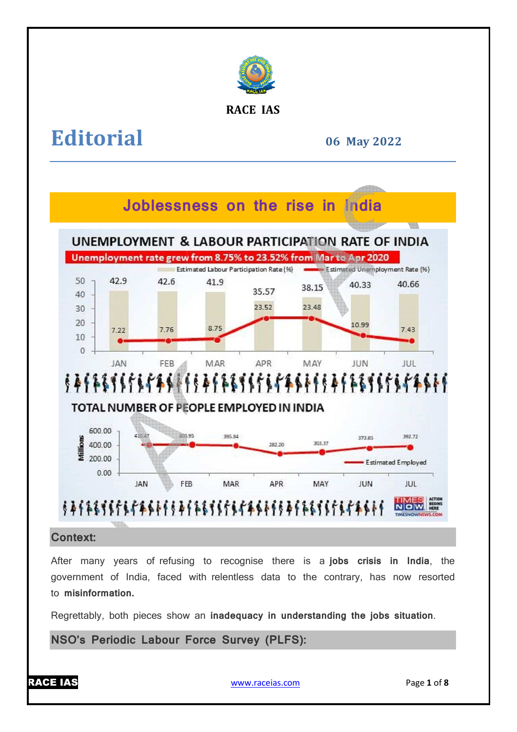

# **RACE IAS**

# **Editorial**

**06 May 2022**



**Context:**

After many years of refusing to recognise there is a **jobs crisis in India** , the government of India, faced with relentless data to the contrary, has now resorted to **misinformation.**

Regrettably, both pieces show an **inadequacy in understanding the jobs situation** .

**NSO's Periodic Labour Force Survey (PLFS):**



www.raceias.com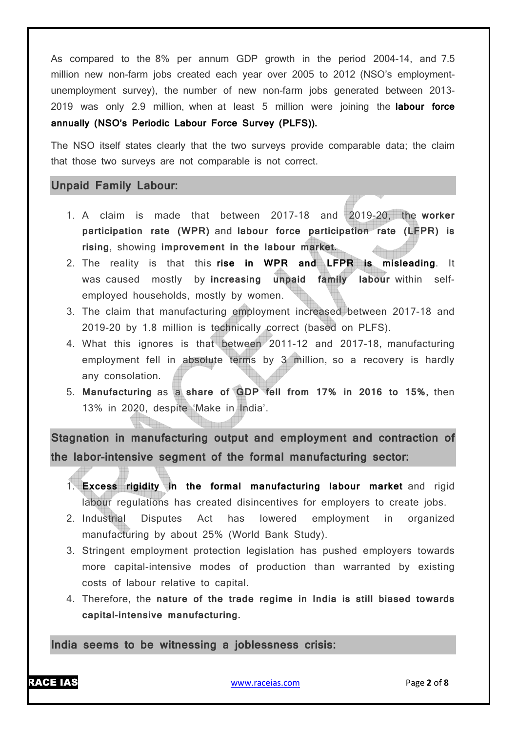As compared to the 8% per annum GDP growth in the period 2004-14, and 7.5 million new non-farm jobs created each year over 2005 to 2012 (NSO's employmentunemployment survey), the number of new non-farm jobs generated between 2013- 2019 was only 2.9 million, when at least 5 million were joining the **labour force annually (NSO's Periodic Labour Force Survey (PLFS)).**

The NSO itself states clearly that the two surveys provide comparable data; the claim that those two surveys are not comparable is not correct.

# **Unpaid Family Labour:**

- 1. A claim is made that between 2017-18 and 2019-20, the **worker participation rate (WPR)** and **labour force participation rate (LFPR) is rising**, showing **improvement in the labour market.**
- 2. The reality is that this **rise in WPR and LFPR is misleading**. It was caused mostly by **increasing unpaid family labour** within selfemployed households, mostly by women.
- 3. The claim that manufacturing employment increased between 2017-18 and 2019-20 by 1.8 million is technically correct (based on PLFS).
- 4. What this ignores is that between 2011-12 and 2017-18, manufacturing employment fell in absolute terms by 3 million, so a recovery is hardly any consolation.
- 5. **Manufacturing** as a **share of GDP fell from 17% in 2016 to 15%,** then 13% in 2020, despite 'Make in India'.

**Stagnation in manufacturing output and employment and contraction of the labor-intensive segment of the formal manufacturing sector:**

- 1. **Excess rigidity in the formal manufacturing labour market** and rigid labour regulations has created disincentives for employers to create jobs.
- 2. Industrial Disputes Act has lowered employment in organized manufacturing by about 25% (World Bank Study).
- 3. Stringent employment protection legislation has pushed employers towards more capital-intensive modes of production than warranted by existing costs of labour relative to capital.
- 4. Therefore, the **nature of the trade regime in India is still biased towards capital-intensive manufacturing.**

**India seems to be witnessing a joblessness crisis:**



RACE IAS www.raceias.com Page **2** of **8**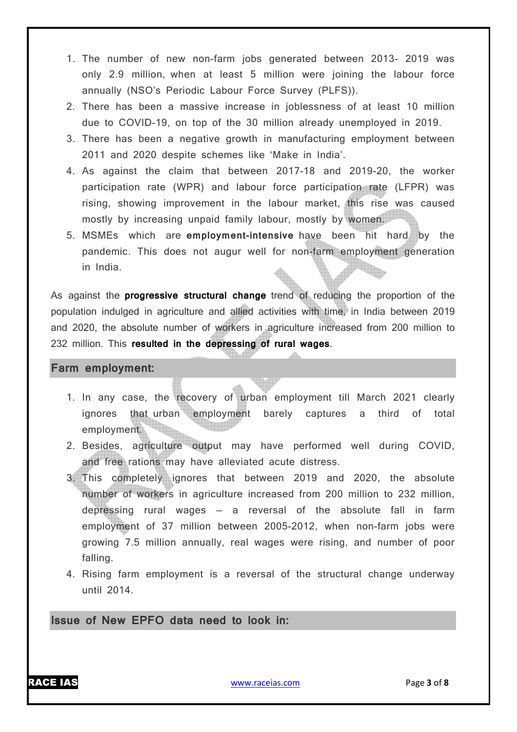- 1. The number of new non-farm jobs generated between 2013- 2019 was only 2.9 million, when at least 5 million were joining the labour force annually (NSO's Periodic Labour Force Survey (PLFS)).
- 2. There has been a massive increase in joblessness of at least 10 million due to COVID-19, on top of the 30 million already unemployed in 2019.
- 3. There has been a negative growth in manufacturing employment between 2011 and 2020 despite schemes like 'Make in India'.
- 4. As against the claim that between 2017-18 and 2019-20, the worker participation rate (WPR) and labour force participation rate (LFPR) was rising, showing improvement in the labour market, this rise was caused mostly by increasing unpaid family labour, mostly by women.
- 5. MSMEs which are **employment-intensive** have been hit hard by the pandemic. This does not augur well for non-farm employment generation in India.

As against the **progressive structural change** trend of reducing the proportion of the population indulged in agriculture and allied activities with time, in India between 2019 and 2020, the absolute number of workers in agriculture increased from 200 million to 232 million. This **resulted in the depressing of rural wages**.

### **Farm employment:**

- 1. In any case, the recovery of urban employment till March 2021 clearly ignores that urban employment barely captures a third of total employment.
- 2. Besides, agriculture output may have performed well during COVID, and free rations may have alleviated acute distress.
- 3. This completely ignores that between 2019 and 2020, the absolute number of workers in agriculture increased from 200 million to 232 million, depressing rural wages — a reversal of the absolute fall in farm employment of 37 million between 2005-2012, when non-farm jobs were growing 7.5 million annually, real wages were rising, and number of poor falling.
- 4. Rising farm employment is a reversal of the structural change underway until 2014.

**Issue of New EPFO data need to look in:**

RACE IAS www.raceias.com Page **3** of **8**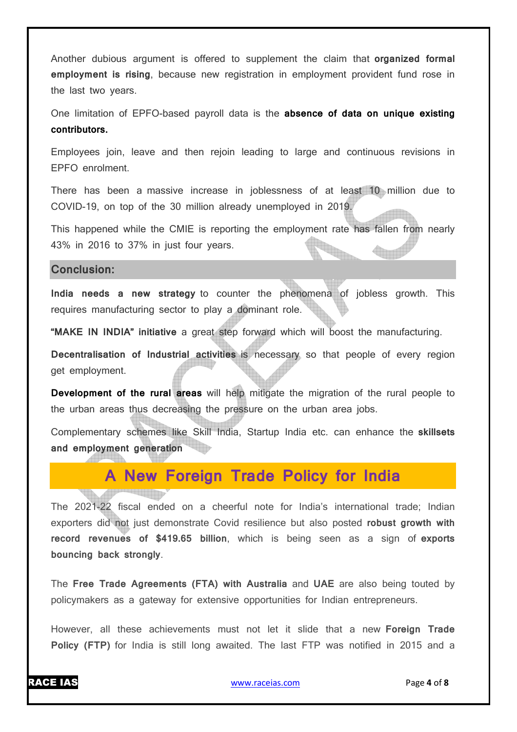Another dubious argument is offered to supplement the claim that **organized formal employment is rising**, because new registration in employment provident fund rose in the last two years.

One limitation of EPFO-based payroll data is the **absence of data on unique existing contributors.**

Employees join, leave and then rejoin leading to large and continuous revisions in EPFO enrolment.

There has been a massive increase in joblessness of at least 10 million due to COVID-19, on top of the 30 million already unemployed in 2019.

This happened while the CMIE is reporting the employment rate has fallen from nearly 43% in 2016 to 37% in just four years. **Andr** 

#### **Conclusion:**

**India needs a new strategy** to counter the phenomena of jobless growth. This requires manufacturing sector to play a dominant role.

**"MAKE IN INDIA" initiative** a great step forward which will boost the manufacturing.

**Decentralisation of Industrial activities** is necessary so that people of every region get employment.

**Development of the rural areas** will help mitigate the migration of the rural people to the urban areas thus decreasing the pressure on the urban area jobs.

Complementary schemes like Skill India, Startup India etc. can enhance the **skillsets and employment generation**

# **A New Foreign Trade Policy for India**

The 2021-22 fiscal ended on a cheerful note for India's international trade; Indian exporters did not just demonstrate Covid resilience but also posted **robust growth with record revenues of \$419.65 billion**, which is being seen as a sign of **exports bouncing back strongly**.

The **Free Trade Agreements (FTA) with Australia** and **UAE** are also being touted by policymakers as a gateway for extensive opportunities for Indian entrepreneurs.

However, all these achievements must not let it slide that a new **Foreign Trade Policy (FTP)** for India is still long awaited. The last FTP was notified in 2015 and a

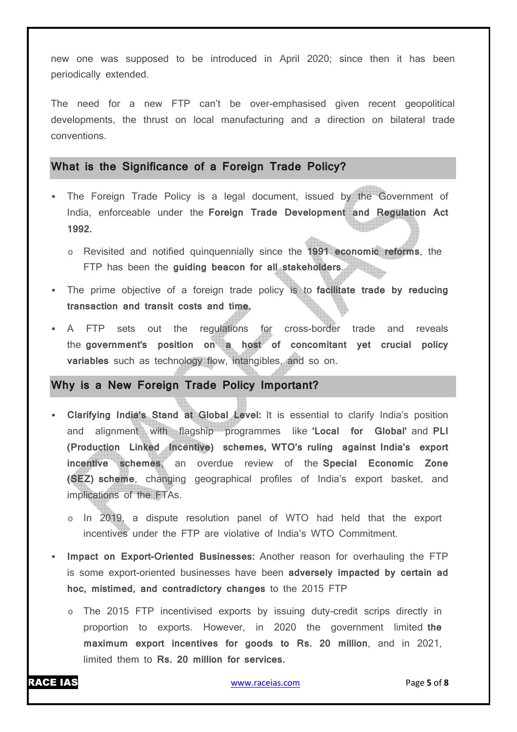new one was supposed to be introduced in April 2020; since then it has been periodically extended.

The need for a new FTP can't be over-emphasised given recent geopolitical developments, the thrust on local manufacturing and a direction on bilateral trade conventions.

# **What is the Significance of a Foreign Trade Policy?**

- The Foreign Trade Policy is a legal document, issued by the Government of India, enforceable under the **Foreign Trade Development and Regulation Act 1992.**
	- o Revisited and notified quinquennially since the **1991 economic reforms**, the FTP has been the **guiding beacon for all stakeholders**.
- The prime objective of a foreign trade policy is to **facilitate trade by reducing transaction and transit costs and time.**
- A FTP sets out the regulations for cross-border trade and reveals the **government's position on a host of concomitant yet crucial policy variables** such as technology flow, intangibles, and so on.

# **Why is a New Foreign Trade Policy Important?**

- **Clarifying India's Stand at Global Level:** It is essential to clarify India's position and alignment with flagship programmes like **'Local for Global'** and **PLI (Production Linked Incentive) schemes, WTO's ruling against India's export incentive schemes**, an overdue review of the **Special Economic Zone (SEZ) scheme**, changing geographical profiles of India's export basket, and implications of the FTAs.
	- o In 2019, a dispute resolution panel of WTO had held that the export incentives under the FTP are violative of India's WTO Commitment.
- **Impact on Export-Oriented Businesses:** Another reason for overhauling the FTP is some export-oriented businesses have been **adversely impacted by certain ad hoc, mistimed, and contradictory changes** to the 2015 FTP
	- o The 2015 FTP incentivised exports by issuing duty-credit scrips directly in proportion to exports. However, in 2020 the government limited **the maximum export incentives for goods to Rs. 20 million**, and in 2021, limited them to **Rs. 20 million for services.**

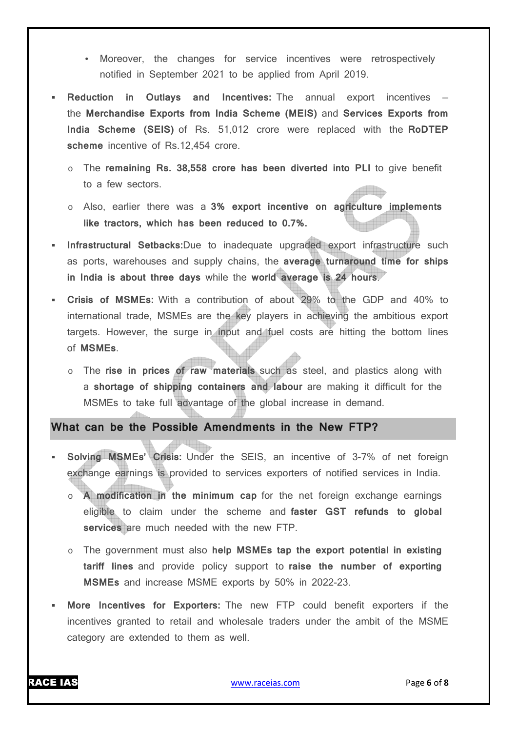- Moreover, the changes for service incentives were retrospectively notified in September 2021 to be applied from April 2019.
- **Reduction in Outlays and Incentives:** The annual export incentives the **Merchandise Exports from India Scheme (MEIS)** and **Services Exports from India Scheme (SEIS)** of Rs. 51,012 crore were replaced with the **RoDTEP scheme** incentive of Rs.12,454 crore.
	- o The **remaining Rs. 38,558 crore has been diverted into PLI** to give benefit to a few sectors.
	- o Also, earlier there was a **3% export incentive on agriculture implements like tractors, which has been reduced to 0.7%.**
- **Infrastructural Setbacks:**Due to inadequate upgraded export infrastructure such as ports, warehouses and supply chains, the **average turnaround time for ships in India is about three days** while the **world average is 24 hours**.
- **Crisis of MSMEs:** With a contribution of about 29% to the GDP and 40% to international trade, MSMEs are the key players in achieving the ambitious export targets. However, the surge in input and fuel costs are hitting the bottom lines of **MSMEs**.
	- o The **rise in prices of raw materials** such as steel, and plastics along with a **shortage of shipping containers and labour** are making it difficult for the MSMEs to take full advantage of the global increase in demand.

**What can be the Possible Amendments in the New FTP?** 

- **Solving MSMEs' Crisis:** Under the SEIS, an incentive of 3-7% of net foreign exchange earnings is provided to services exporters of notified services in India.
	- A modification in the minimum cap for the net foreign exchange earnings eligible to claim under the scheme and **faster GST refunds to global services** are much needed with the new FTP.
	- o The government must also **help MSMEs tap the export potential in existing tariff lines** and provide policy support to **raise the number of exporting MSMEs** and increase MSME exports by 50% in 2022-23.
- **More Incentives for Exporters:** The new FTP could benefit exporters if the incentives granted to retail and wholesale traders under the ambit of the MSME category are extended to them as well.

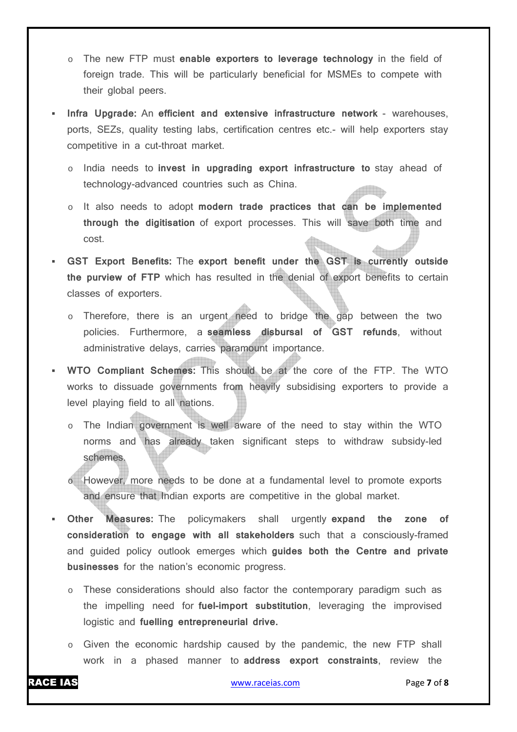- o The new FTP must **enable exporters to leverage technology** in the field of foreign trade. This will be particularly beneficial for MSMEs to compete with their global peers.
- **Infra Upgrade:** An **efficient and extensive infrastructure network** warehouses, ports, SEZs, quality testing labs, certification centres etc.- will help exporters stay competitive in a cut-throat market.
	- o India needs to **invest in upgrading export infrastructure to** stay ahead of technology-advanced countries such as China.
	- o It also needs to adopt **modern trade practices that can be implemented through the digitisation** of export processes. This will save both time and cost.
- **GST Export Benefits:** The **export benefit under the GST is currently outside the purview of FTP** which has resulted in the denial of export benefits to certain classes of exporters.
	- o Therefore, there is an urgent need to bridge the gap between the two policies. Furthermore, a **seamless disbursal of GST refunds**, without administrative delays, carries paramount importance.
- **WTO Compliant Schemes:** This should be at the core of the FTP. The WTO works to dissuade governments from heavily subsidising exporters to provide a level playing field to all nations.
	- o The Indian government is well aware of the need to stay within the WTO norms and has already taken significant steps to withdraw subsidy-led schemes.
	- o However, more needs to be done at a fundamental level to promote exports and ensure that Indian exports are competitive in the global market.
- **Other Measures:** The policymakers shall urgently **expand the zone of consideration to engage with all stakeholders** such that a consciously-framed and guided policy outlook emerges which **guides both the Centre and private businesses** for the nation's economic progress.
	- $\circ$  These considerations should also factor the contemporary paradigm such as the impelling need for **fuel-import substitution**, leveraging the improvised logistic and **fuelling entrepreneurial drive.**
	- o Given the economic hardship caused by the pandemic, the new FTP shall work in a phased manner to **address export constraints**, review the